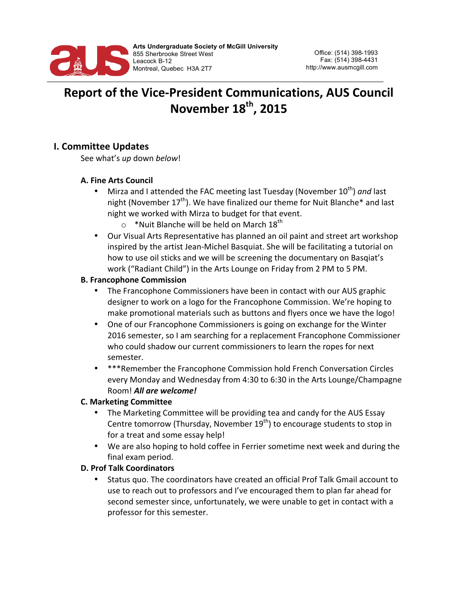

# **Report of the Vice-President Communications, AUS Council November 18th, 2015**

## **I. Committee Updates**

See what's up down below!

#### **A. Fine Arts Council**

- Mirza and I attended the FAC meeting last Tuesday (November 10<sup>th</sup>) and last night (November  $17^{th}$ ). We have finalized our theme for Nuit Blanche\* and last night we worked with Mirza to budget for that event.
	- $\circ$  \*Nuit Blanche will be held on March 18<sup>th</sup>
- Our Visual Arts Representative has planned an oil paint and street art workshop inspired by the artist Jean-Michel Basquiat. She will be facilitating a tutorial on how to use oil sticks and we will be screening the documentary on Basqiat's work ("Radiant Child") in the Arts Lounge on Friday from 2 PM to 5 PM.

#### **B. Francophone Commission**

- The Francophone Commissioners have been in contact with our AUS graphic designer to work on a logo for the Francophone Commission. We're hoping to make promotional materials such as buttons and flyers once we have the logo!
- One of our Francophone Commissioners is going on exchange for the Winter 2016 semester, so I am searching for a replacement Francophone Commissioner who could shadow our current commissioners to learn the ropes for next semester.
- \*\*\*Remember the Francophone Commission hold French Conversation Circles every Monday and Wednesday from 4:30 to 6:30 in the Arts Lounge/Champagne Room! *All are welcome!*

#### **C. Marketing Committee**

- The Marketing Committee will be providing tea and candy for the AUS Essay Centre tomorrow (Thursday, November  $19<sup>th</sup>$ ) to encourage students to stop in for a treat and some essay help!
- We are also hoping to hold coffee in Ferrier sometime next week and during the final exam period.

#### **D. Prof Talk Coordinators**

Status quo. The coordinators have created an official Prof Talk Gmail account to use to reach out to professors and I've encouraged them to plan far ahead for second semester since, unfortunately, we were unable to get in contact with a professor for this semester.